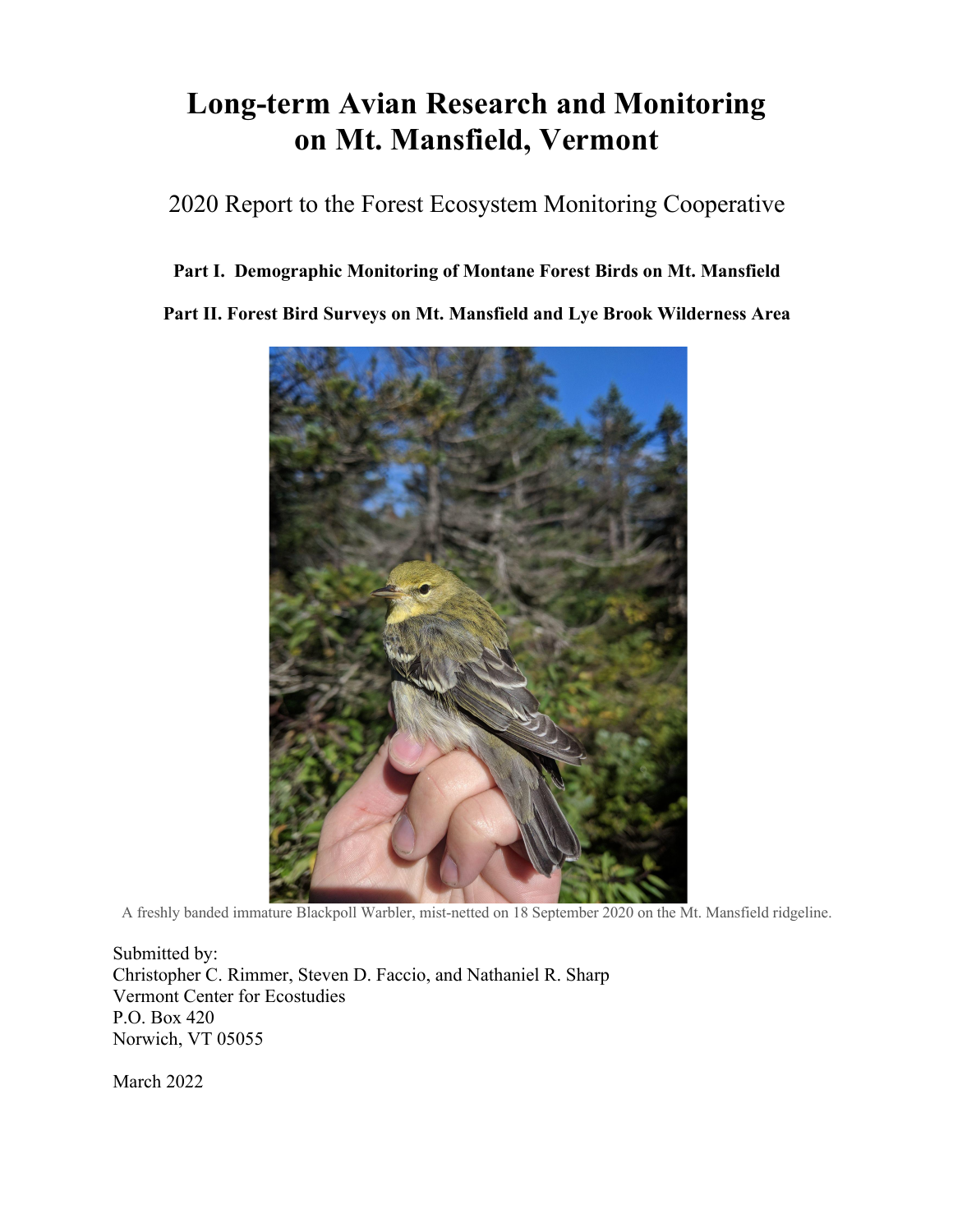# **Long-term Avian Research and Monitoring on Mt. Mansfield, Vermont**

# 2020 Report to the Forest Ecosystem Monitoring Cooperative

# **Part I. Demographic Monitoring of Montane Forest Birds on Mt. Mansfield**

**Part II. Forest Bird Surveys on Mt. Mansfield and Lye Brook Wilderness Area**



A freshly banded immature Blackpoll Warbler, mist-netted on 18 September 2020 on the Mt. Mansfield ridgeline.

Submitted by: Christopher C. Rimmer, Steven D. Faccio, and Nathaniel R. Sharp Vermont Center for Ecostudies P.O. Box 420 Norwich, VT 05055

March 2022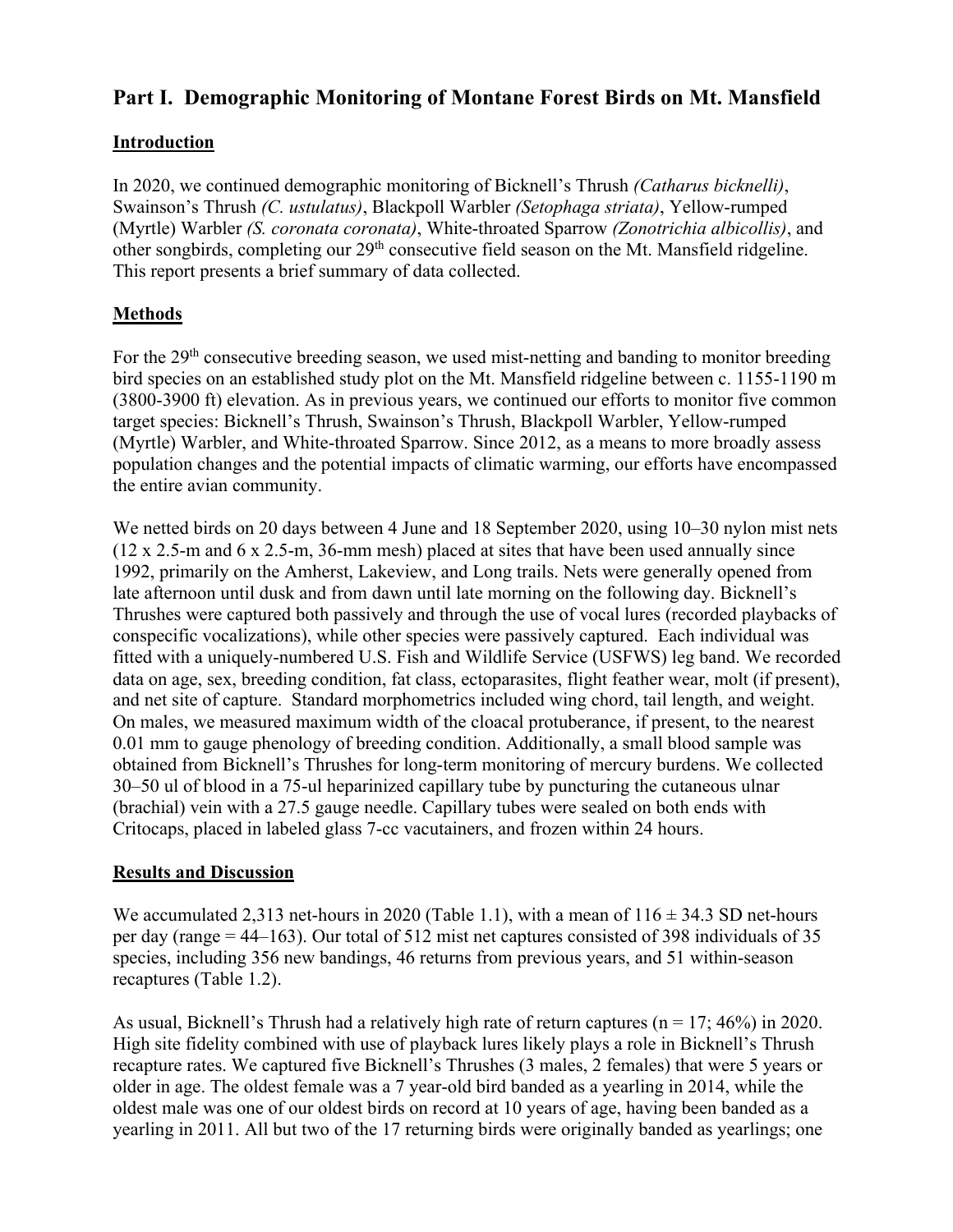# **Part I. Demographic Monitoring of Montane Forest Birds on Mt. Mansfield**

## **Introduction**

In 2020, we continued demographic monitoring of Bicknell's Thrush *(Catharus bicknelli)*, Swainson's Thrush *(C. ustulatus)*, Blackpoll Warbler *(Setophaga striata)*, Yellow-rumped (Myrtle) Warbler *(S. coronata coronata)*, White-throated Sparrow *(Zonotrichia albicollis)*, and other songbirds, completing our 29<sup>th</sup> consecutive field season on the Mt. Mansfield ridgeline. This report presents a brief summary of data collected.

# **Methods**

For the 29<sup>th</sup> consecutive breeding season, we used mist-netting and banding to monitor breeding bird species on an established study plot on the Mt. Mansfield ridgeline between c. 1155-1190 m (3800-3900 ft) elevation. As in previous years, we continued our efforts to monitor five common target species: Bicknell's Thrush, Swainson's Thrush, Blackpoll Warbler, Yellow-rumped (Myrtle) Warbler, and White-throated Sparrow. Since 2012, as a means to more broadly assess population changes and the potential impacts of climatic warming, our efforts have encompassed the entire avian community.

We netted birds on 20 days between 4 June and 18 September 2020, using 10–30 nylon mist nets (12 x 2.5-m and 6 x 2.5-m, 36-mm mesh) placed at sites that have been used annually since 1992, primarily on the Amherst, Lakeview, and Long trails. Nets were generally opened from late afternoon until dusk and from dawn until late morning on the following day. Bicknell's Thrushes were captured both passively and through the use of vocal lures (recorded playbacks of conspecific vocalizations), while other species were passively captured. Each individual was fitted with a uniquely-numbered U.S. Fish and Wildlife Service (USFWS) leg band. We recorded data on age, sex, breeding condition, fat class, ectoparasites, flight feather wear, molt (if present), and net site of capture. Standard morphometrics included wing chord, tail length, and weight. On males, we measured maximum width of the cloacal protuberance, if present, to the nearest 0.01 mm to gauge phenology of breeding condition. Additionally, a small blood sample was obtained from Bicknell's Thrushes for long-term monitoring of mercury burdens. We collected 30–50 ul of blood in a 75-ul heparinized capillary tube by puncturing the cutaneous ulnar (brachial) vein with a 27.5 gauge needle. Capillary tubes were sealed on both ends with Critocaps, placed in labeled glass 7-cc vacutainers, and frozen within 24 hours.

#### **Results and Discussion**

We accumulated 2,313 net-hours in 2020 (Table 1.1), with a mean of  $116 \pm 34.3$  SD net-hours per day (range = 44–163). Our total of 512 mist net captures consisted of 398 individuals of 35 species, including 356 new bandings, 46 returns from previous years, and 51 within-season recaptures (Table 1.2).

As usual, Bicknell's Thrush had a relatively high rate of return captures ( $n = 17$ ; 46%) in 2020. High site fidelity combined with use of playback lures likely plays a role in Bicknell's Thrush recapture rates. We captured five Bicknell's Thrushes (3 males, 2 females) that were 5 years or older in age. The oldest female was a 7 year-old bird banded as a yearling in 2014, while the oldest male was one of our oldest birds on record at 10 years of age, having been banded as a yearling in 2011. All but two of the 17 returning birds were originally banded as yearlings; one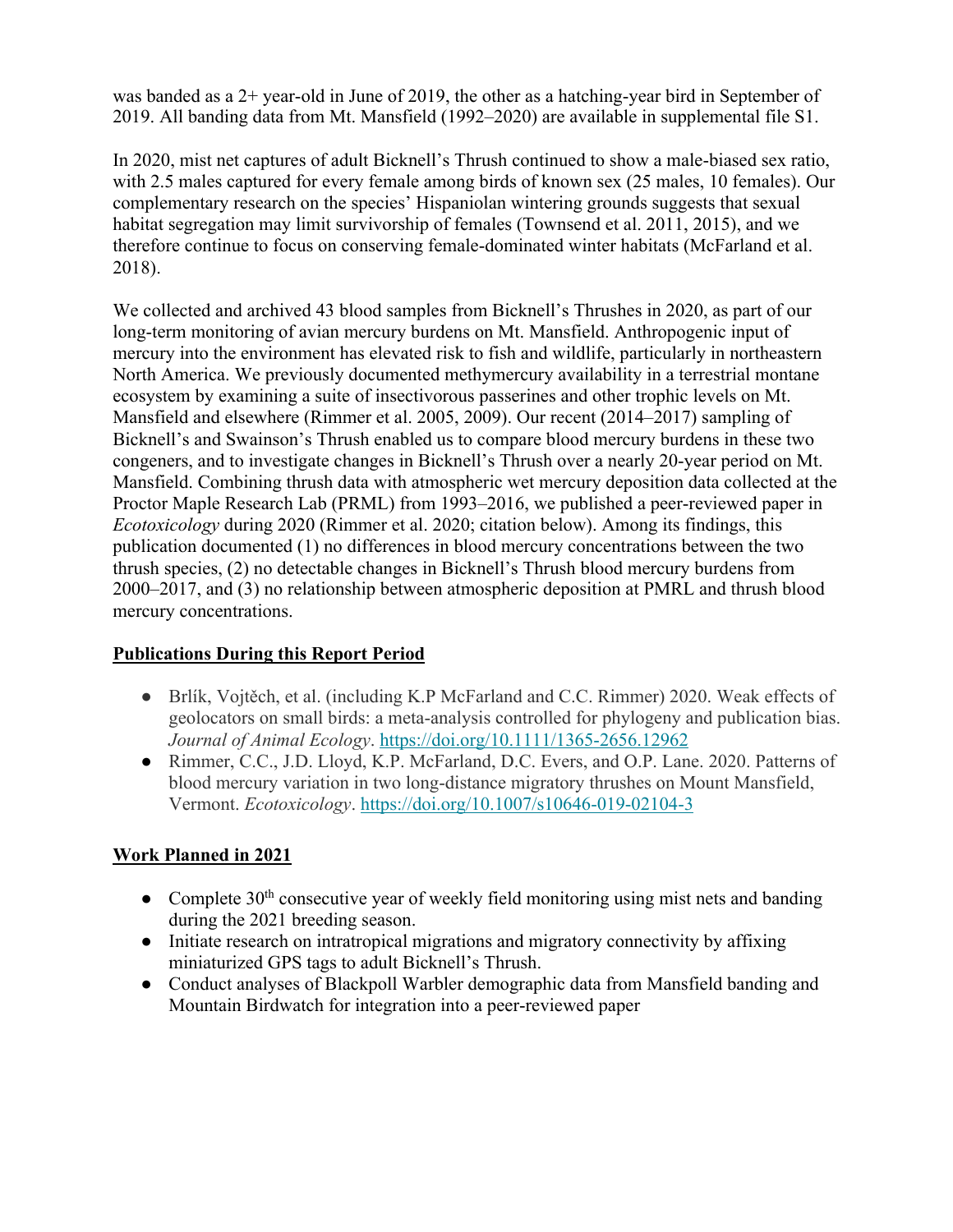was banded as a 2+ year-old in June of 2019, the other as a hatching-year bird in September of 2019. All banding data from Mt. Mansfield (1992–2020) are available in supplemental file S1.

In 2020, mist net captures of adult Bicknell's Thrush continued to show a male-biased sex ratio, with 2.5 males captured for every female among birds of known sex (25 males, 10 females). Our complementary research on the species' Hispaniolan wintering grounds suggests that sexual habitat segregation may limit survivorship of females (Townsend et al. 2011, 2015), and we therefore continue to focus on conserving female-dominated winter habitats (McFarland et al. 2018).

We collected and archived 43 blood samples from Bicknell's Thrushes in 2020, as part of our long-term monitoring of avian mercury burdens on Mt. Mansfield. Anthropogenic input of mercury into the environment has elevated risk to fish and wildlife, particularly in northeastern North America. We previously documented methymercury availability in a terrestrial montane ecosystem by examining a suite of insectivorous passerines and other trophic levels on Mt. Mansfield and elsewhere (Rimmer et al. 2005, 2009). Our recent (2014–2017) sampling of Bicknell's and Swainson's Thrush enabled us to compare blood mercury burdens in these two congeners, and to investigate changes in Bicknell's Thrush over a nearly 20-year period on Mt. Mansfield. Combining thrush data with atmospheric wet mercury deposition data collected at the Proctor Maple Research Lab (PRML) from 1993–2016, we published a peer-reviewed paper in *Ecotoxicology* during 2020 (Rimmer et al. 2020; citation below). Among its findings, this publication documented (1) no differences in blood mercury concentrations between the two thrush species, (2) no detectable changes in Bicknell's Thrush blood mercury burdens from 2000–2017, and (3) no relationship between atmospheric deposition at PMRL and thrush blood mercury concentrations.

# **Publications During this Report Period**

- Brlík, Vojtěch, et al. (including K.P McFarland and C.C. Rimmer) 2020. Weak effects of geolocators on small birds: a meta-analysis controlled for phylogeny and publication bias. *Journal of Animal Ecology*. https://doi.org/10.1111/1365-2656.12962
- Rimmer, C.C., J.D. Lloyd, K.P. McFarland, D.C. Evers, and O.P. Lane. 2020. Patterns of blood mercury variation in two long-distance migratory thrushes on Mount Mansfield, Vermont. *Ecotoxicology*. https://doi.org/10.1007/s10646-019-02104-3

# **Work Planned in 2021**

- Complete  $30<sup>th</sup>$  consecutive year of weekly field monitoring using mist nets and banding during the 2021 breeding season.
- Initiate research on intratropical migrations and migratory connectivity by affixing miniaturized GPS tags to adult Bicknell's Thrush.
- Conduct analyses of Blackpoll Warbler demographic data from Mansfield banding and Mountain Birdwatch for integration into a peer-reviewed paper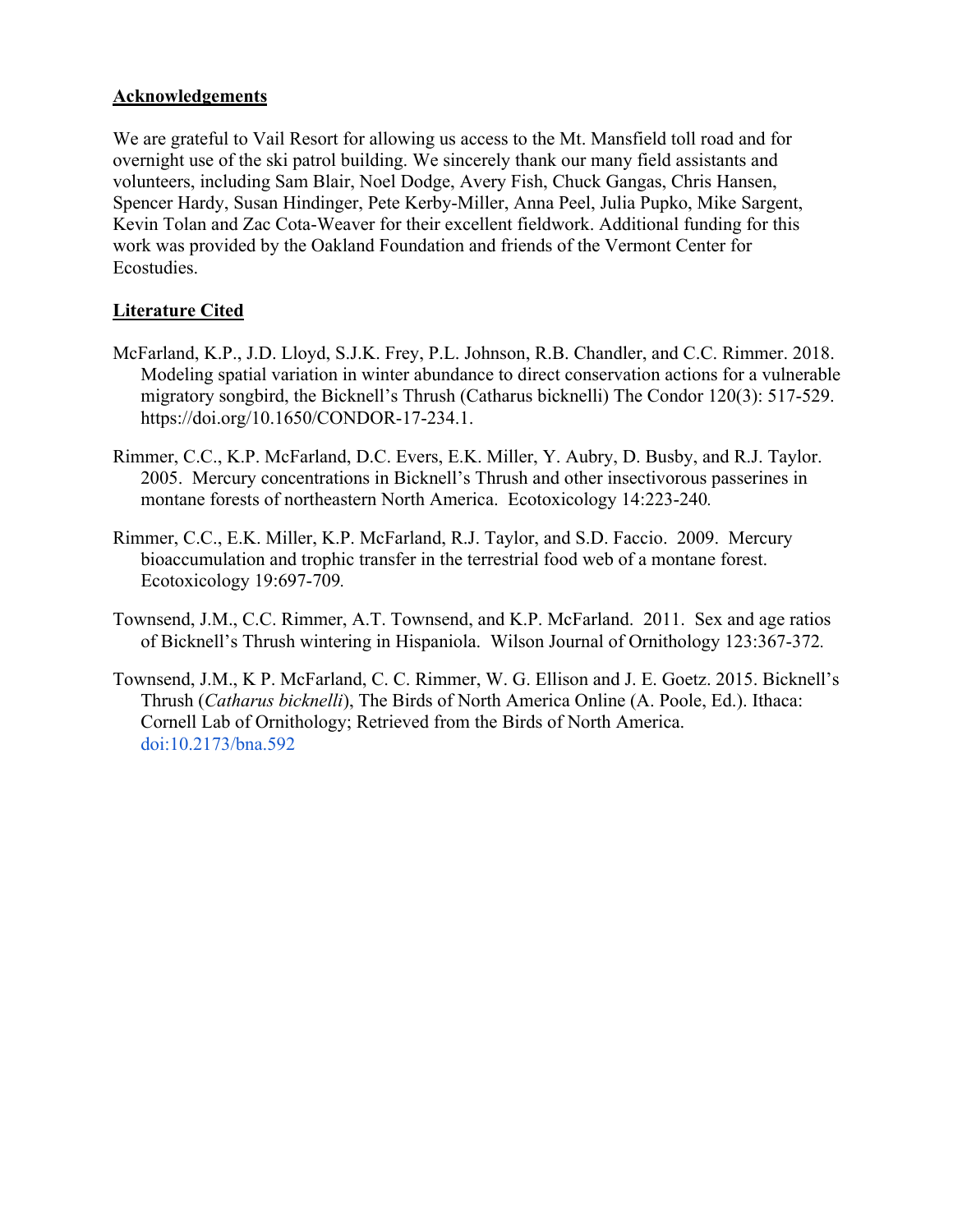#### **Acknowledgements**

We are grateful to Vail Resort for allowing us access to the Mt. Mansfield toll road and for overnight use of the ski patrol building. We sincerely thank our many field assistants and volunteers, including Sam Blair, Noel Dodge, Avery Fish, Chuck Gangas, Chris Hansen, Spencer Hardy, Susan Hindinger, Pete Kerby-Miller, Anna Peel, Julia Pupko, Mike Sargent, Kevin Tolan and Zac Cota-Weaver for their excellent fieldwork. Additional funding for this work was provided by the Oakland Foundation and friends of the Vermont Center for Ecostudies.

#### **Literature Cited**

- McFarland, K.P., J.D. Lloyd, S.J.K. Frey, P.L. Johnson, R.B. Chandler, and C.C. Rimmer. 2018. Modeling spatial variation in winter abundance to direct conservation actions for a vulnerable migratory songbird, the Bicknell's Thrush (Catharus bicknelli) The Condor 120(3): 517-529. https://doi.org/10.1650/CONDOR-17-234.1.
- Rimmer, C.C., K.P. McFarland, D.C. Evers, E.K. Miller, Y. Aubry, D. Busby, and R.J. Taylor. 2005. Mercury concentrations in Bicknell's Thrush and other insectivorous passerines in montane forests of northeastern North America. Ecotoxicology 14:223-240*.*
- Rimmer, C.C., E.K. Miller, K.P. McFarland, R.J. Taylor, and S.D. Faccio. 2009. Mercury bioaccumulation and trophic transfer in the terrestrial food web of a montane forest. Ecotoxicology 19:697-709*.*
- Townsend, J.M., C.C. Rimmer, A.T. Townsend, and K.P. McFarland. 2011. Sex and age ratios of Bicknell's Thrush wintering in Hispaniola. Wilson Journal of Ornithology 123:367-372*.*
- Townsend, J.M., K P. McFarland, C. C. Rimmer, W. G. Ellison and J. E. Goetz. 2015. Bicknell's Thrush (*Catharus bicknelli*), The Birds of North America Online (A. Poole, Ed.). Ithaca: Cornell Lab of Ornithology; Retrieved from the Birds of North America. doi:10.2173/bna.592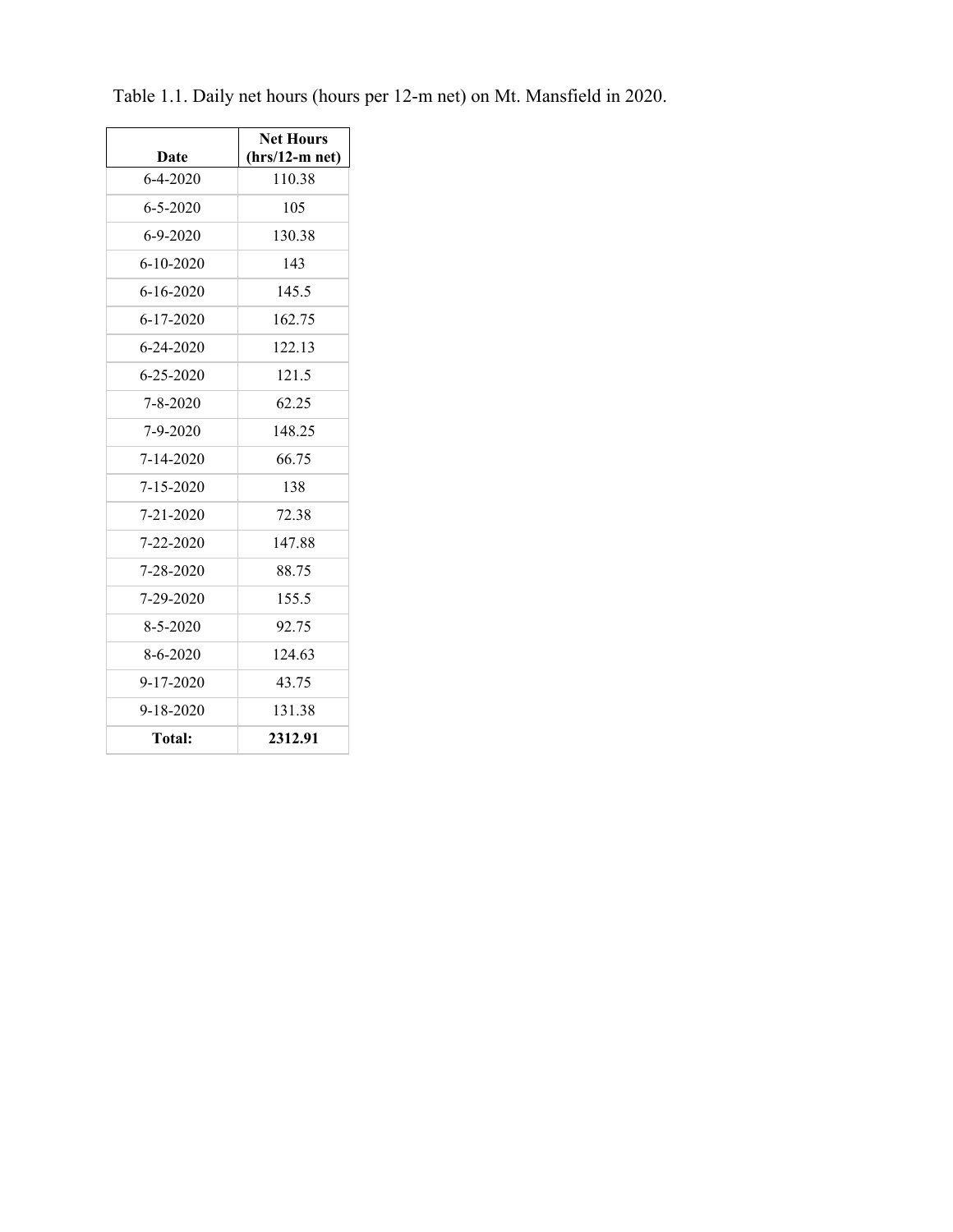|                 | <b>Net Hours</b> |  |  |
|-----------------|------------------|--|--|
| Date            | $(hrs/12-m net)$ |  |  |
| $6 - 4 - 2020$  | 110.38           |  |  |
| $6 - 5 - 2020$  | 105              |  |  |
| $6 - 9 - 2020$  | 130.38           |  |  |
| $6 - 10 - 2020$ | 143              |  |  |
| $6 - 16 - 2020$ | 145.5            |  |  |
| $6 - 17 - 2020$ | 162.75           |  |  |
| 6-24-2020       | 122.13           |  |  |
| 6-25-2020       | 121.5            |  |  |
| 7-8-2020        | 62.25            |  |  |
| 7-9-2020        | 148.25           |  |  |
| 7-14-2020       | 66.75            |  |  |
| $7 - 15 - 2020$ | 138              |  |  |
| 7-21-2020       | 72.38            |  |  |
| 7-22-2020       | 147.88           |  |  |
| 7-28-2020       | 88.75            |  |  |
| 7-29-2020       | 155.5            |  |  |
| 8-5-2020        | 92.75            |  |  |
| 8-6-2020        | 124.63           |  |  |
| $9 - 17 - 2020$ | 43.75            |  |  |
| 9-18-2020       | 131.38           |  |  |
| <b>Total:</b>   | 2312.91          |  |  |

Table 1.1. Daily net hours (hours per 12-m net) on Mt. Mansfield in 2020.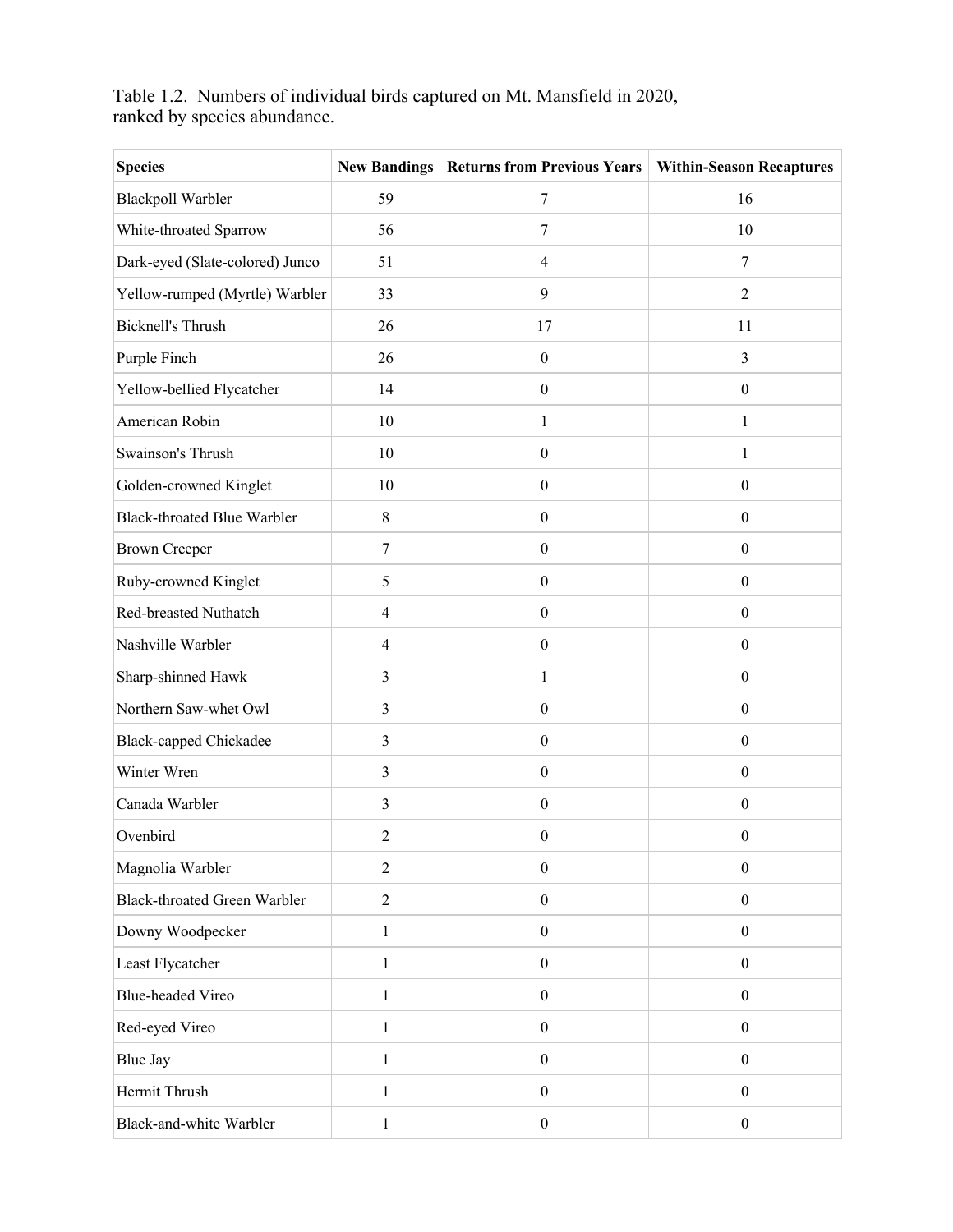Table 1.2. Numbers of individual birds captured on Mt. Mansfield in 2020, ranked by species abundance.

| <b>Species</b>                      | <b>New Bandings</b>     | <b>Returns from Previous Years</b> | <b>Within-Season Recaptures</b> |
|-------------------------------------|-------------------------|------------------------------------|---------------------------------|
| <b>Blackpoll Warbler</b>            | 59                      | $\tau$                             | 16                              |
| White-throated Sparrow              | 56                      | $\tau$                             | 10                              |
| Dark-eyed (Slate-colored) Junco     | 51                      | $\overline{\mathcal{A}}$           | 7                               |
| Yellow-rumped (Myrtle) Warbler      | 33                      | 9                                  | $\overline{2}$                  |
| <b>Bicknell's Thrush</b>            | 26                      | 17                                 | 11                              |
| Purple Finch                        | 26                      | $\boldsymbol{0}$                   | 3                               |
| Yellow-bellied Flycatcher           | 14                      | $\boldsymbol{0}$                   | $\boldsymbol{0}$                |
| American Robin                      | 10                      | $\,1$                              | $\,1$                           |
| Swainson's Thrush                   | 10                      | $\boldsymbol{0}$                   | $\mathbf{1}$                    |
| Golden-crowned Kinglet              | 10                      | $\boldsymbol{0}$                   | $\boldsymbol{0}$                |
| <b>Black-throated Blue Warbler</b>  | 8                       | $\boldsymbol{0}$                   | $\boldsymbol{0}$                |
| <b>Brown Creeper</b>                | $\overline{7}$          | $\boldsymbol{0}$                   | $\boldsymbol{0}$                |
| Ruby-crowned Kinglet                | 5                       | $\boldsymbol{0}$                   | $\boldsymbol{0}$                |
| Red-breasted Nuthatch               | $\overline{4}$          | $\boldsymbol{0}$                   | $\boldsymbol{0}$                |
| Nashville Warbler                   | $\overline{4}$          | $\boldsymbol{0}$                   | $\boldsymbol{0}$                |
| Sharp-shinned Hawk                  | 3                       | $\mathbf{1}$                       | $\boldsymbol{0}$                |
| Northern Saw-whet Owl               | $\overline{\mathbf{3}}$ | $\boldsymbol{0}$                   | $\boldsymbol{0}$                |
| <b>Black-capped Chickadee</b>       | $\mathfrak{Z}$          | $\boldsymbol{0}$                   | $\boldsymbol{0}$                |
| Winter Wren                         | $\overline{3}$          | $\boldsymbol{0}$                   | $\boldsymbol{0}$                |
| Canada Warbler                      | 3                       | $\boldsymbol{0}$                   | $\boldsymbol{0}$                |
| Ovenbird                            | 2                       | $\overline{0}$                     | $\mathbf{0}$                    |
| Magnolia Warbler                    | $\overline{2}$          | $\boldsymbol{0}$                   | $\boldsymbol{0}$                |
| <b>Black-throated Green Warbler</b> | $\sqrt{2}$              | $\boldsymbol{0}$                   | $\boldsymbol{0}$                |
| Downy Woodpecker                    | $\mathbf{1}$            | $\boldsymbol{0}$                   | $\boldsymbol{0}$                |
| Least Flycatcher                    | $\mathbf{1}$            | $\boldsymbol{0}$                   | $\boldsymbol{0}$                |
| <b>Blue-headed Vireo</b>            | $\mathbf{1}$            | $\boldsymbol{0}$                   | $\boldsymbol{0}$                |
| Red-eyed Vireo                      | $\mathbf{1}$            | $\boldsymbol{0}$                   | $\boldsymbol{0}$                |
| <b>Blue Jay</b>                     | 1                       | $\boldsymbol{0}$                   | $\boldsymbol{0}$                |
| Hermit Thrush                       | $\mathbf{1}$            | $\boldsymbol{0}$                   | $\boldsymbol{0}$                |
| Black-and-white Warbler             | $\mathbf{1}$            | $\boldsymbol{0}$                   | $\boldsymbol{0}$                |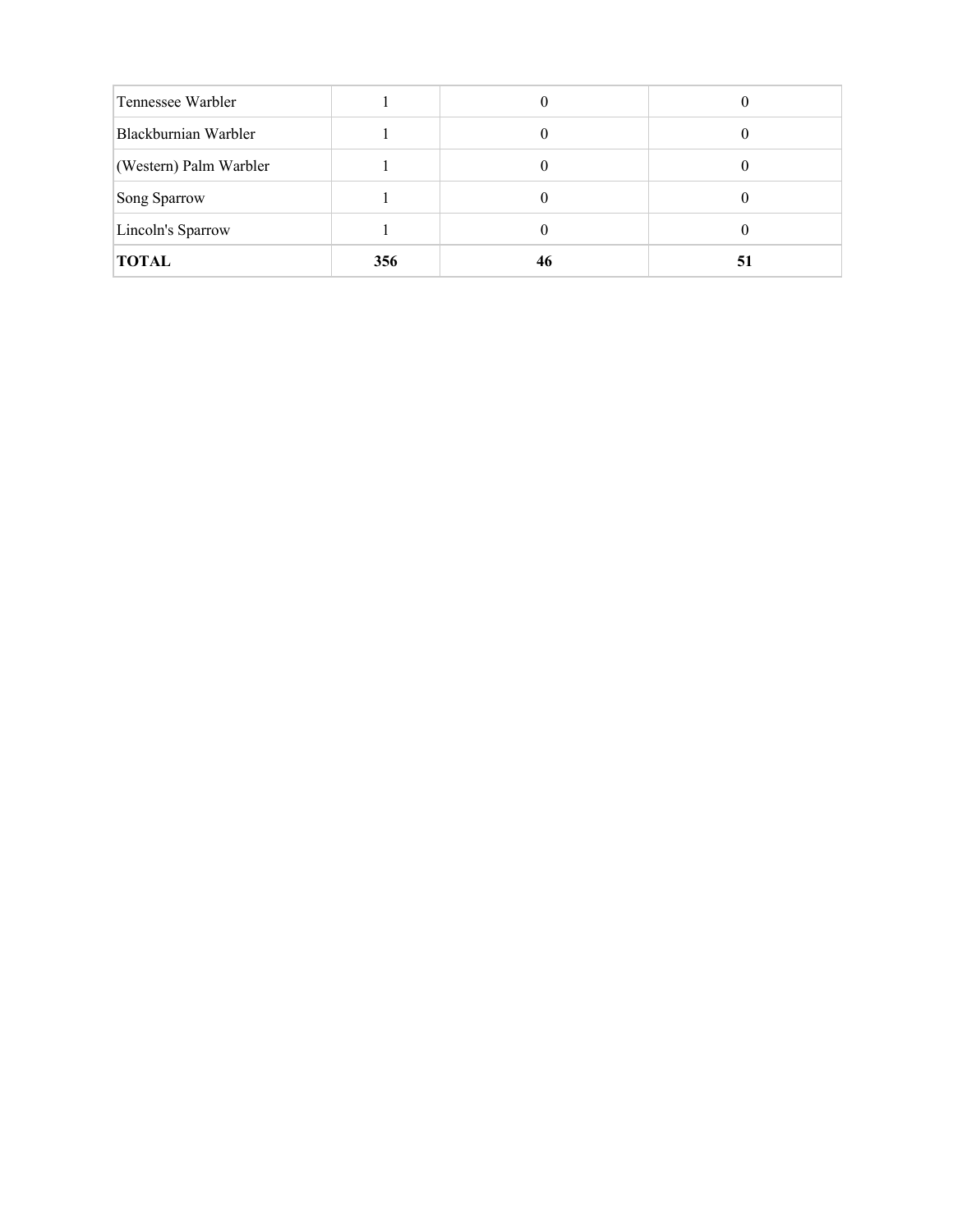| Tennessee Warbler      |     |    |    |
|------------------------|-----|----|----|
| Blackburnian Warbler   |     |    |    |
| (Western) Palm Warbler |     |    |    |
| Song Sparrow           |     |    |    |
| Lincoln's Sparrow      |     | U  |    |
| <b>TOTAL</b>           | 356 | 46 | 51 |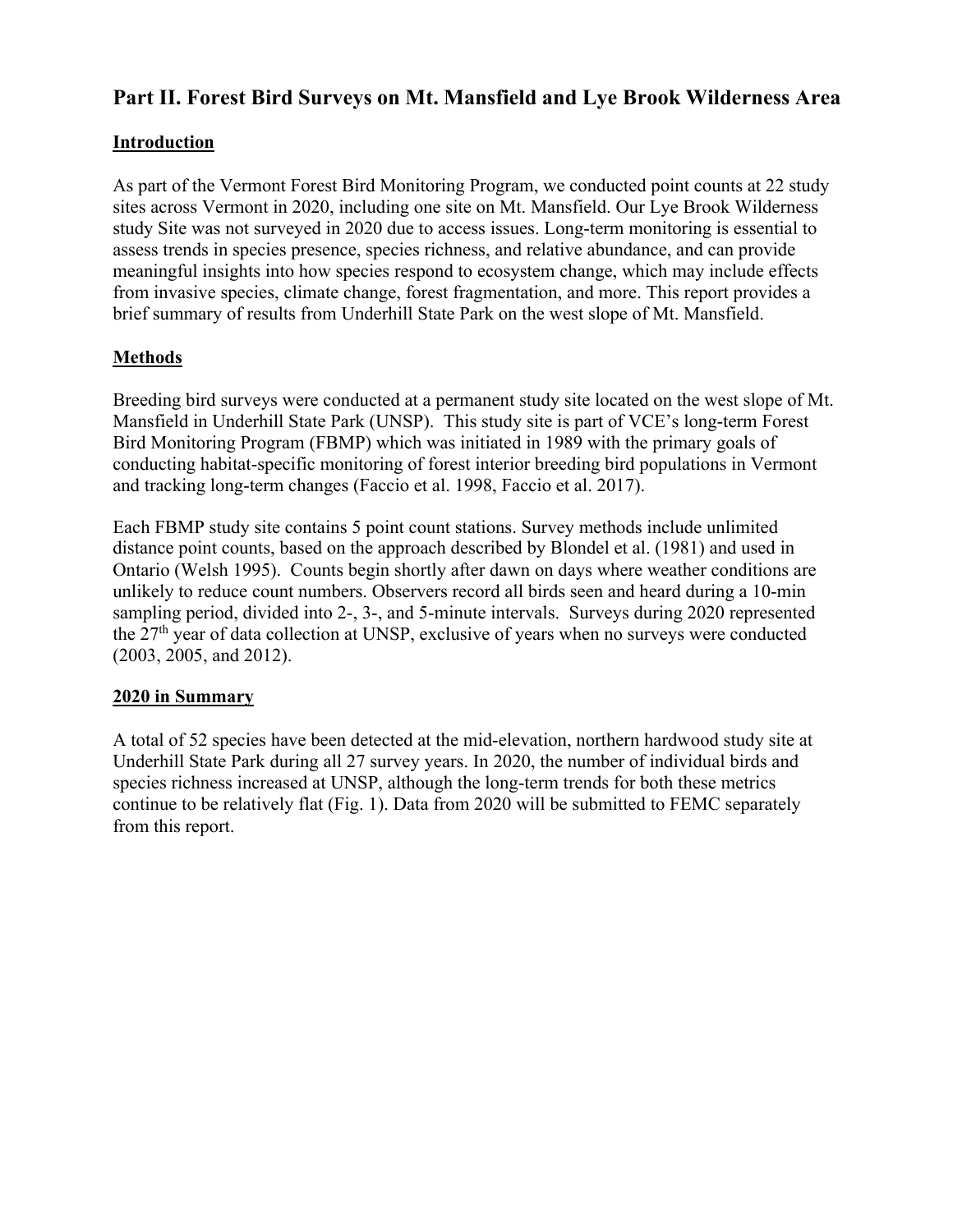# **Part II. Forest Bird Surveys on Mt. Mansfield and Lye Brook Wilderness Area**

### **Introduction**

As part of the Vermont Forest Bird Monitoring Program, we conducted point counts at 22 study sites across Vermont in 2020, including one site on Mt. Mansfield. Our Lye Brook Wilderness study Site was not surveyed in 2020 due to access issues. Long-term monitoring is essential to assess trends in species presence, species richness, and relative abundance, and can provide meaningful insights into how species respond to ecosystem change, which may include effects from invasive species, climate change, forest fragmentation, and more. This report provides a brief summary of results from Underhill State Park on the west slope of Mt. Mansfield.

## **Methods**

Breeding bird surveys were conducted at a permanent study site located on the west slope of Mt. Mansfield in Underhill State Park (UNSP). This study site is part of VCE's long-term Forest Bird Monitoring Program (FBMP) which was initiated in 1989 with the primary goals of conducting habitat-specific monitoring of forest interior breeding bird populations in Vermont and tracking long-term changes (Faccio et al. 1998, Faccio et al. 2017).

Each FBMP study site contains 5 point count stations. Survey methods include unlimited distance point counts, based on the approach described by Blondel et al. (1981) and used in Ontario (Welsh 1995). Counts begin shortly after dawn on days where weather conditions are unlikely to reduce count numbers. Observers record all birds seen and heard during a 10-min sampling period, divided into 2-, 3-, and 5-minute intervals. Surveys during 2020 represented the 27th year of data collection at UNSP, exclusive of years when no surveys were conducted (2003, 2005, and 2012).

#### **2020 in Summary**

A total of 52 species have been detected at the mid-elevation, northern hardwood study site at Underhill State Park during all 27 survey years. In 2020, the number of individual birds and species richness increased at UNSP, although the long-term trends for both these metrics continue to be relatively flat (Fig. 1). Data from 2020 will be submitted to FEMC separately from this report.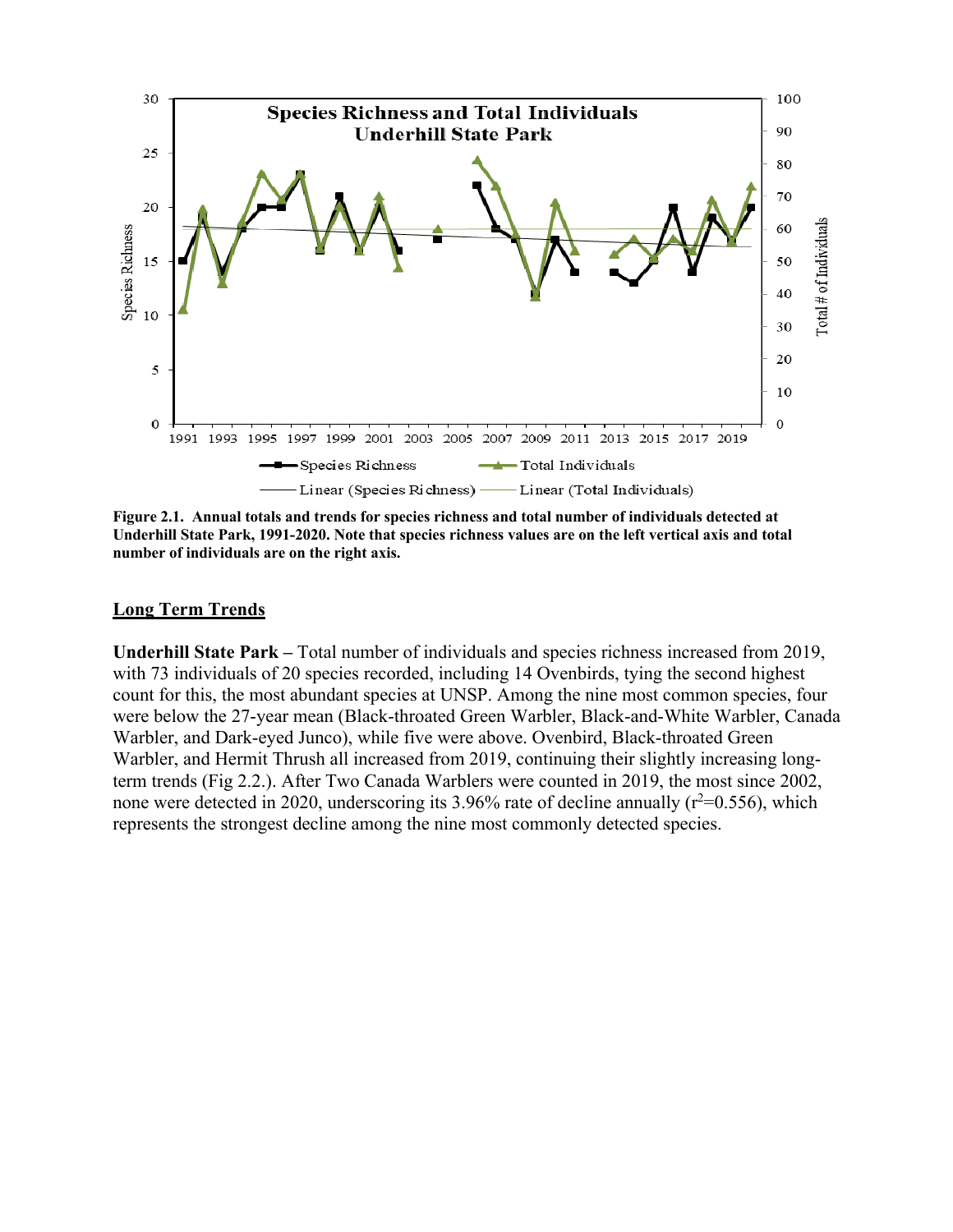

**Figure 2.1. Annual totals and trends for species richness and total number of individuals detected at Underhill State Park, 1991-2020. Note that species richness values are on the left vertical axis and total number of individuals are on the right axis.**

#### **Long Term Trends**

**Underhill State Park –** Total number of individuals and species richness increased from 2019, with 73 individuals of 20 species recorded, including 14 Ovenbirds, tying the second highest count for this, the most abundant species at UNSP. Among the nine most common species, four were below the 27-year mean (Black-throated Green Warbler, Black-and-White Warbler, Canada Warbler, and Dark-eyed Junco), while five were above. Ovenbird, Black-throated Green Warbler, and Hermit Thrush all increased from 2019, continuing their slightly increasing longterm trends (Fig 2.2.). After Two Canada Warblers were counted in 2019, the most since 2002, none were detected in 2020, underscoring its 3.96% rate of decline annually ( $r^2$ =0.556), which represents the strongest decline among the nine most commonly detected species.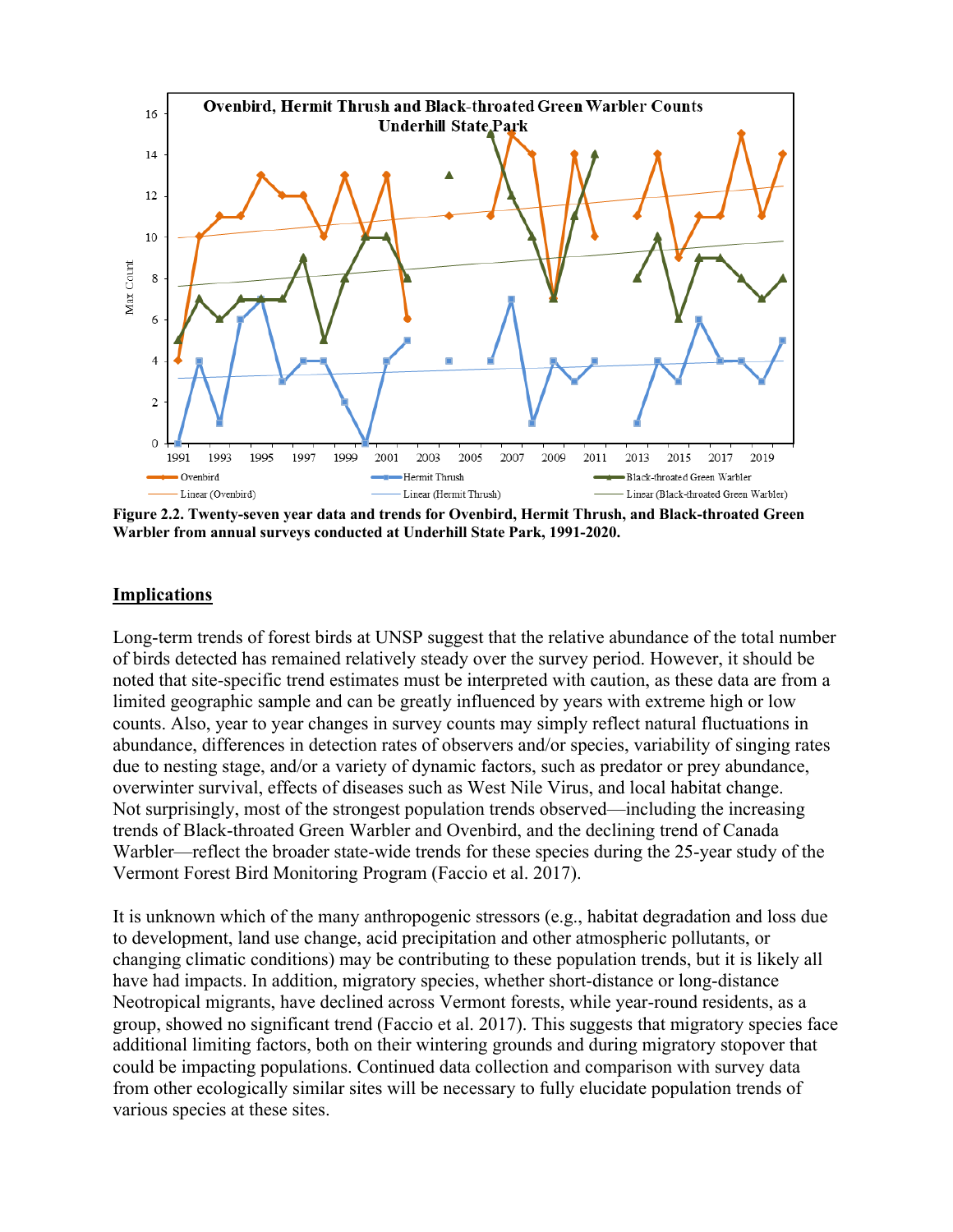

**Figure 2.2. Twenty-seven year data and trends for Ovenbird, Hermit Thrush, and Black-throated Green Warbler from annual surveys conducted at Underhill State Park, 1991-2020.**

#### **Implications**

Long-term trends of forest birds at UNSP suggest that the relative abundance of the total number of birds detected has remained relatively steady over the survey period. However, it should be noted that site-specific trend estimates must be interpreted with caution, as these data are from a limited geographic sample and can be greatly influenced by years with extreme high or low counts. Also, year to year changes in survey counts may simply reflect natural fluctuations in abundance, differences in detection rates of observers and/or species, variability of singing rates due to nesting stage, and/or a variety of dynamic factors, such as predator or prey abundance, overwinter survival, effects of diseases such as West Nile Virus, and local habitat change. Not surprisingly, most of the strongest population trends observed—including the increasing trends of Black-throated Green Warbler and Ovenbird, and the declining trend of Canada Warbler—reflect the broader state-wide trends for these species during the 25-year study of the Vermont Forest Bird Monitoring Program (Faccio et al. 2017).

It is unknown which of the many anthropogenic stressors (e.g., habitat degradation and loss due to development, land use change, acid precipitation and other atmospheric pollutants, or changing climatic conditions) may be contributing to these population trends, but it is likely all have had impacts. In addition, migratory species, whether short-distance or long-distance Neotropical migrants, have declined across Vermont forests, while year-round residents, as a group, showed no significant trend (Faccio et al. 2017). This suggests that migratory species face additional limiting factors, both on their wintering grounds and during migratory stopover that could be impacting populations. Continued data collection and comparison with survey data from other ecologically similar sites will be necessary to fully elucidate population trends of various species at these sites.